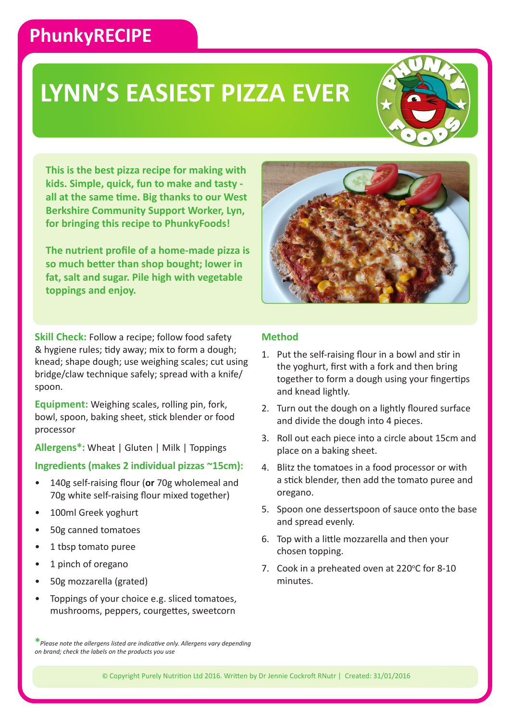## **PhunkyRECIPE**

# **LYNN'S EASIEST PIZZA EVER**



**This is the best pizza recipe for making with kids. Simple, quick, fun to make and tasty all at the same time. Big thanks to our West Berkshire Community Support Worker, Lyn, for bringing this recipe to PhunkyFoods!**

**The nutrient profile of a home-made pizza is so much better than shop bought; lower in fat, salt and sugar. Pile high with vegetable toppings and enjoy.**

**Skill Check:** Follow a recipe: follow food safety & hygiene rules; tidy away; mix to form a dough; knead; shape dough; use weighing scales; cut using bridge/claw technique safely; spread with a knife/ spoon.

**Equipment:** Weighing scales, rolling pin, fork, bowl, spoon, baking sheet, stick blender or food processor

**Allergens\*:** Wheat | Gluten | Milk | Toppings

### **Ingredients (makes 2 individual pizzas ~15cm):**

- 140g self-raising flour (**or** 70g wholemeal and 70g white self-raising flour mixed together)
- 100ml Greek yoghurt
- 50g canned tomatoes
- 1 tbsp tomato puree
- 1 pinch of oregano
- 50g mozzarella (grated)
- Toppings of your choice e.g. sliced tomatoes, mushrooms, peppers, courgettes, sweetcorn

### **Method**

- 1. Put the self-raising flour in a bowl and stir in the yoghurt, first with a fork and then bring together to form a dough using your fingertips and knead lightly.
- 2. Turn out the dough on a lightly floured surface and divide the dough into 4 pieces.
- 3. Roll out each piece into a circle about 15cm and place on a baking sheet.
- 4. Blitz the tomatoes in a food processor or with a stick blender, then add the tomato puree and oregano.
- 5. Spoon one dessertspoon of sauce onto the base and spread evenly.
- 6. Top with a little mozzarella and then your chosen topping.
- 7. Cook in a preheated oven at 220 $\degree$ C for 8-10 minutes.

**\****Please note the allergens listed are indicative only. Allergens vary depending on brand; check the labels on the products you use*